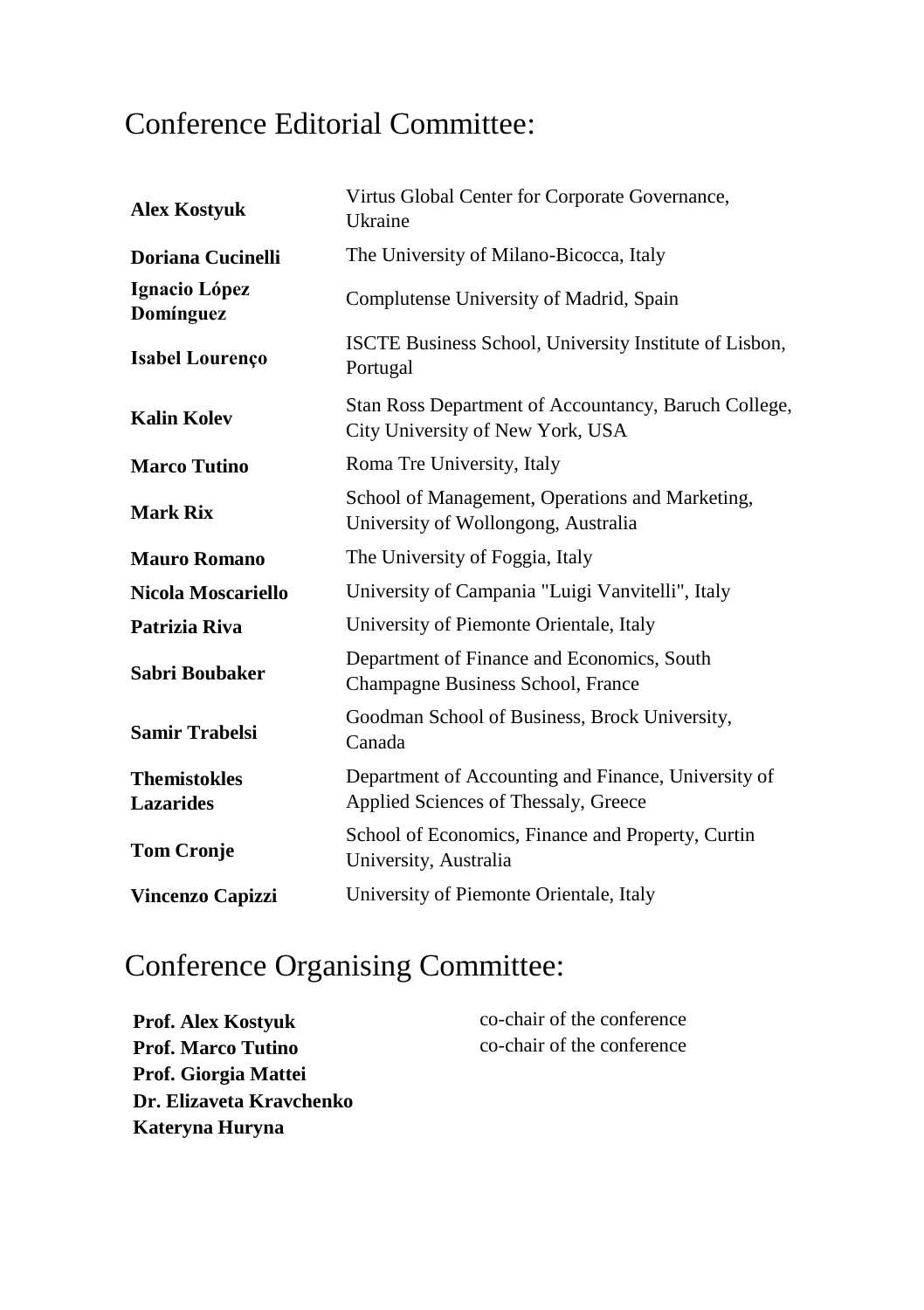## Conference Editorial Committee:

| <b>Alex Kostyuk</b>                     | Virtus Global Center for Corporate Governance,<br>Ukraine                                   |  |
|-----------------------------------------|---------------------------------------------------------------------------------------------|--|
| Doriana Cucinelli                       | The University of Milano-Bicocca, Italy                                                     |  |
| Ignacio López<br>Domínguez              | Complutense University of Madrid, Spain                                                     |  |
| <b>Isabel Lourenço</b>                  | ISCTE Business School, University Institute of Lisbon,<br>Portugal                          |  |
| <b>Kalin Kolev</b>                      | Stan Ross Department of Accountancy, Baruch College,<br>City University of New York, USA    |  |
| <b>Marco Tutino</b>                     | Roma Tre University, Italy                                                                  |  |
| Mark Rix                                | School of Management, Operations and Marketing,<br>University of Wollongong, Australia      |  |
| <b>Mauro Romano</b>                     | The University of Foggia, Italy                                                             |  |
| Nicola Moscariello                      | University of Campania "Luigi Vanvitelli", Italy                                            |  |
| Patrizia Riva                           | University of Piemonte Orientale, Italy                                                     |  |
| Sabri Boubaker                          | Department of Finance and Economics, South<br>Champagne Business School, France             |  |
| <b>Samir Trabelsi</b>                   | Goodman School of Business, Brock University,<br>Canada                                     |  |
| <b>Themistokles</b><br><b>Lazarides</b> | Department of Accounting and Finance, University of<br>Applied Sciences of Thessaly, Greece |  |
| <b>Tom Cronje</b>                       | School of Economics, Finance and Property, Curtin<br>University, Australia                  |  |
| <b>Vincenzo Capizzi</b>                 | University of Piemonte Orientale, Italy                                                     |  |

## Conference Organising Committee:

| <b>Prof. Alex Kostvuk</b> | co-chair of the conference |
|---------------------------|----------------------------|
| <b>Prof. Marco Tutino</b> | co-chair of the conference |
| Prof. Giorgia Mattei      |                            |
| Dr. Elizaveta Kravchenko  |                            |
| Kateryna Huryna           |                            |